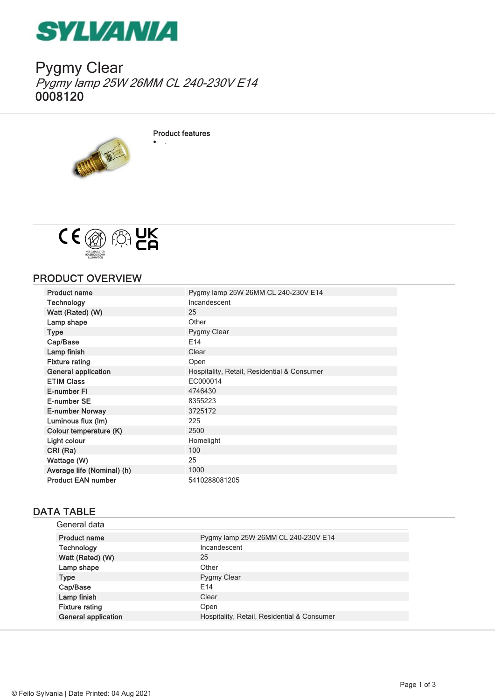

Pygmy Clear Pygmy lamp 25W 26MM CL 240-230V E14 0008120



Product features

· .



## PRODUCT OVERVIEW

| <b>Product name</b>        | Pygmy lamp 25W 26MM CL 240-230V E14         |
|----------------------------|---------------------------------------------|
| Technology                 | Incandescent                                |
| Watt (Rated) (W)           | 25                                          |
| Lamp shape                 | Other                                       |
| <b>Type</b>                | Pygmy Clear                                 |
| Cap/Base                   | E14                                         |
| Lamp finish                | Clear                                       |
| <b>Fixture rating</b>      | Open                                        |
| <b>General application</b> | Hospitality, Retail, Residential & Consumer |
| <b>ETIM Class</b>          | EC000014                                    |
| E-number FI                | 4746430                                     |
| E-number SE                | 8355223                                     |
| <b>E-number Norway</b>     | 3725172                                     |
| Luminous flux (Im)         | 225                                         |
| Colour temperature (K)     | 2500                                        |
| Light colour               | Homelight                                   |
| CRI (Ra)                   | 100                                         |
| Wattage (W)                | 25                                          |
| Average life (Nominal) (h) | 1000                                        |
| <b>Product EAN number</b>  | 5410288081205                               |
|                            |                                             |

# DATA TABLE

| General data               |                                             |
|----------------------------|---------------------------------------------|
| <b>Product name</b>        | Pygmy lamp 25W 26MM CL 240-230V E14         |
| Technology                 | Incandescent                                |
| Watt (Rated) (W)           | 25                                          |
| Lamp shape                 | Other                                       |
| <b>Type</b>                | Pygmy Clear                                 |
| Cap/Base                   | F <sub>14</sub>                             |
| Lamp finish                | Clear                                       |
| <b>Fixture rating</b>      | Open                                        |
| <b>General application</b> | Hospitality, Retail, Residential & Consumer |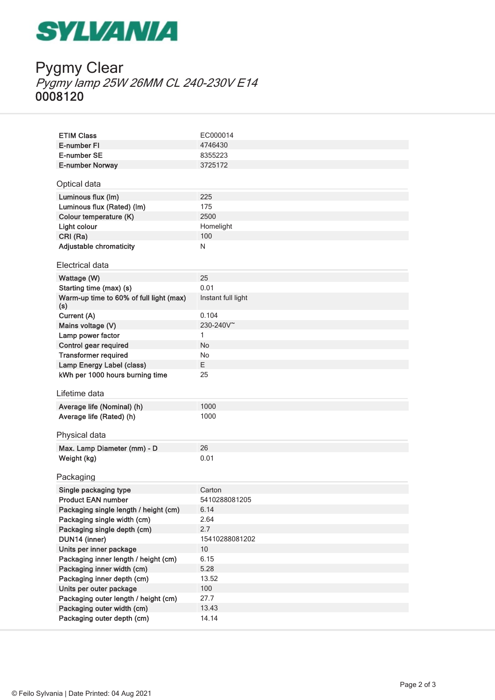# **SYLVANIA**

# Pygmy Clear Pygmy lamp 25W 26MM CL 240-230V E14 0008120

| <b>ETIM Class</b>                                                  | EC000014              |
|--------------------------------------------------------------------|-----------------------|
| E-number FI                                                        | 4746430               |
| E-number SE                                                        | 8355223               |
| E-number Norway                                                    | 3725172               |
|                                                                    |                       |
| Optical data                                                       |                       |
| Luminous flux (Im)                                                 | 225                   |
| Luminous flux (Rated) (lm)                                         | 175                   |
| Colour temperature (K)                                             | 2500                  |
| Light colour                                                       | Homelight             |
| CRI (Ra)                                                           | 100                   |
| <b>Adjustable chromaticity</b>                                     | N                     |
| Electrical data                                                    |                       |
|                                                                    |                       |
| Wattage (W)                                                        | 25                    |
| Starting time (max) (s)                                            | 0.01                  |
| Warm-up time to 60% of full light (max)<br>(s)                     | Instant full light    |
| Current (A)                                                        | 0.104                 |
| Mains voltage (V)                                                  | 230-240V <sup>~</sup> |
| Lamp power factor                                                  | 1                     |
| Control gear required                                              | No                    |
| <b>Transformer required</b>                                        | No                    |
| <b>Lamp Energy Label (class)</b>                                   | E.                    |
| kWh per 1000 hours burning time                                    | 25                    |
|                                                                    |                       |
|                                                                    |                       |
| Lifetime data                                                      |                       |
| Average life (Nominal) (h)                                         | 1000                  |
| Average life (Rated) (h)                                           | 1000                  |
|                                                                    |                       |
| Physical data                                                      |                       |
| Max. Lamp Diameter (mm) - D                                        | 26                    |
| Weight (kg)                                                        | 0.01                  |
|                                                                    |                       |
| Packaging                                                          |                       |
| Single packaging type                                              | Carton                |
| <b>Product FAN number</b>                                          | 5410288081205         |
| Packaging single length / height (cm)                              | 6.14                  |
| Packaging single width (cm)                                        | 2.64                  |
| Packaging single depth (cm)                                        | 2.7                   |
| DUN14 (inner)                                                      | 15410288081202        |
| Units per inner package                                            | 10<br>6.15            |
| Packaging inner length / height (cm)<br>Packaging inner width (cm) | 5.28                  |
| Packaging inner depth (cm)                                         | 13.52                 |
| Units per outer package                                            | 100                   |
| Packaging outer length / height (cm)                               | 27.7                  |
| Packaging outer width (cm)<br>Packaging outer depth (cm)           | 13.43<br>14.14        |